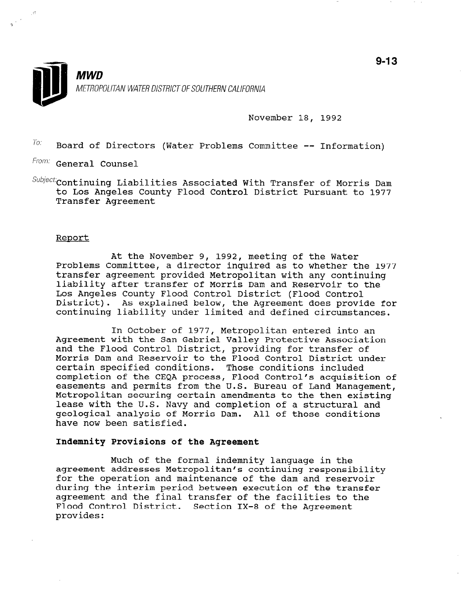

November 18, 1992

 $T_{01}$  Board of Directors (Water Problems Committee -- Information)

From: General Counsel

 $\textit{Subject}$  continuing Liabilities Associated With Transfer of Morris Dam to Los Angeles County Flood Control District Pursuant to 1977 Transfer Agreement

## Report

At the November 9, 1992, meeting of the Water Problems Committee, a director inquired as to whether the 1977 transfer agreement provided Metropolitan with any continuing liability after transfer of Morris Dam and Reservoir to the Los Angeles County Flood Control District (Flood Control District). As explained below, the Agreement does provide for continuing liability under limited and defined circumstances.

In October of 1977, Metropolitan entered into an Agreement with the San Gabriel Valley Protective Association and the Flood Control District, providing for transfer of Morris Dam and Reservoir to the Flood Control District under certain specified conditions. Those conditions included completion of the CEQA process, Flood Control's acquisition of easements and permits from the U.S. Bureau of Land Management, Metropolitan securing certain amendments to the then existing lease with the U.S. Navy and completion of a structural and geological analysis of Morris Dam. All of those conditions have now been satisfied.

## Indemnity Provisions of the Agreement

Much of the formal indemnity language in the much of the formal indemnity language in the for the operation and maintenance of the dam and reservoir for the operation and maintenance of the dam and reservoir during the interim period between execution of the transfer agreement and the final transfer of the facilities to the Flood Control District. Section IX-8 of the Agreement provides: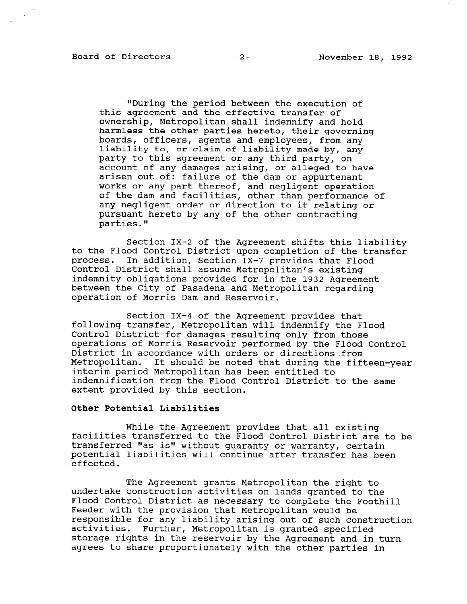"During the period between the execution of this agreement and the effective transfer of ownership, Metropolitan shall indemnify and hold harmless the other parties hereto, their governing boards, officers, agents and employees, from any liability to, or claim of liability made by, any party to this agreement or any third party, on account of any damages arising, or alleged to have arisen out of: failure of the dam or appurtenant works or any part thereof, and negligent operation of the dam and facilities, other than performance of any negligent order or direction to it relating or pursuant hereto by any of the other contracting parties."

Section IX-2 of the Agreement shifts this liability to the Flood Control District upon completion of the transfer process. In addition, Section IX-7 provides that Flood Control District shall assume Metropolitan's existing indemnity obligations provided for in the 1932 Agreement between the City of Pasadena and Metropolitan regarding operation of Morris Dam and Reservoir.

Section IX-4 of the Agreement provides that following transfer, Metropolitan will indemnify the Flood Control District for damages resulting only from those operations of Morris Reservoir performed by the Flood Control District in accordance with orders or directions from District in accordance with orders or directions from<br>Matropolitan. It should be noted that during the fifteeninterim period Metropolitan has been entitled to interim period Metropolitan has been entitled to<br>indemnification from the Flood Control District to the same extent provided by this section.

## Other Potential Liabilities

While the Agreement provides that all existing facilities transferred to the Flood Control District are to be transferred "as is" without guaranty or warranty, certain potential liabilities will continue after transfer has been potential liabilities will continue after transfer has been<br>effected.

The Agreement grants Metropolitan the right to undertake construction and the construction and the construction and the theorem in the theorem is a theorem i undertake construction activities on lands granted to the Flood Control District as necessary to complete the Foothill Feeder with the provision that Metropolitan would be responsible for any liability arising out of such construction<br>activities. Further, Metropolitan is granted specified Further, Metropolitan is granted specified storage rights in the reservoir by the Agreement and in turn<br>agrees to share proportionately with the other parties in